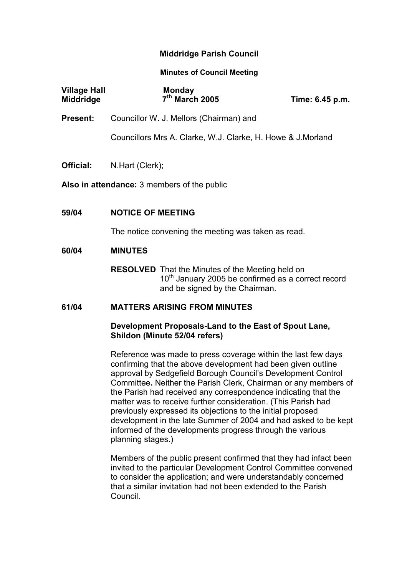# Middridge Parish Council

### Minutes of Council Meeting

| <b>Village Hall</b><br>Middridge                   | <b>Monday</b><br>7 <sup>th</sup> March 2005                                                                                 | Time: 6.45 p.m. |  |
|----------------------------------------------------|-----------------------------------------------------------------------------------------------------------------------------|-----------------|--|
| Present:                                           | Councillor W. J. Mellors (Chairman) and                                                                                     |                 |  |
|                                                    | Councillors Mrs A. Clarke, W.J. Clarke, H. Howe & J. Morland                                                                |                 |  |
| Official:                                          | N.Hart (Clerk);                                                                                                             |                 |  |
| <b>Also in attendance:</b> 3 members of the public |                                                                                                                             |                 |  |
| 59/04                                              | <b>NOTICE OF MEETING</b>                                                                                                    |                 |  |
|                                                    | The notice convening the meeting was taken as read.                                                                         |                 |  |
| 60/04                                              | <b>MINUTES</b>                                                                                                              |                 |  |
|                                                    | <b>RESOLVED</b> That the Minutes of the Meeting held on<br>$\lambda$ 0 <sup>th</sup> Leaven 0005 kg sanfiness and $\lambda$ |                 |  |

 $10<sup>tn</sup>$  January 2005 be confirmed as a correct record and be signed by the Chairman.

#### 61/04 MATTERS ARISING FROM MINUTES

# Development Proposals-Land to the East of Spout Lane, Shildon (Minute 52/04 refers)

Reference was made to press coverage within the last few days confirming that the above development had been given outline approval by Sedgefield Borough Council's Development Control Committee. Neither the Parish Clerk, Chairman or any members of the Parish had received any correspondence indicating that the matter was to receive further consideration. (This Parish had previously expressed its objections to the initial proposed development in the late Summer of 2004 and had asked to be kept informed of the developments progress through the various planning stages.)

Members of the public present confirmed that they had infact been invited to the particular Development Control Committee convened to consider the application; and were understandably concerned that a similar invitation had not been extended to the Parish Council.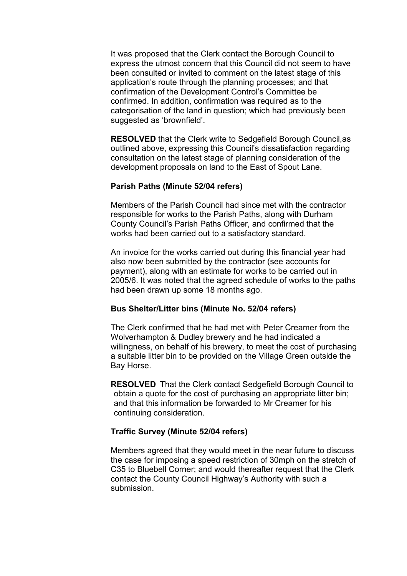It was proposed that the Clerk contact the Borough Council to express the utmost concern that this Council did not seem to have been consulted or invited to comment on the latest stage of this application's route through the planning processes; and that confirmation of the Development Control's Committee be confirmed. In addition, confirmation was required as to the categorisation of the land in question; which had previously been suggested as 'brownfield'.

RESOLVED that the Clerk write to Sedgefield Borough Council,as outlined above, expressing this Council's dissatisfaction regarding consultation on the latest stage of planning consideration of the development proposals on land to the East of Spout Lane.

### Parish Paths (Minute 52/04 refers)

Members of the Parish Council had since met with the contractor responsible for works to the Parish Paths, along with Durham County Council's Parish Paths Officer, and confirmed that the works had been carried out to a satisfactory standard.

An invoice for the works carried out during this financial year had also now been submitted by the contractor (see accounts for payment), along with an estimate for works to be carried out in 2005/6. It was noted that the agreed schedule of works to the paths had been drawn up some 18 months ago.

#### Bus Shelter/Litter bins (Minute No. 52/04 refers)

The Clerk confirmed that he had met with Peter Creamer from the Wolverhampton & Dudley brewery and he had indicated a willingness, on behalf of his brewery, to meet the cost of purchasing a suitable litter bin to be provided on the Village Green outside the Bay Horse.

RESOLVED That the Clerk contact Sedgefield Borough Council to obtain a quote for the cost of purchasing an appropriate litter bin; and that this information be forwarded to Mr Creamer for his continuing consideration.

# Traffic Survey (Minute 52/04 refers)

Members agreed that they would meet in the near future to discuss the case for imposing a speed restriction of 30mph on the stretch of C35 to Bluebell Corner; and would thereafter request that the Clerk contact the County Council Highway's Authority with such a submission.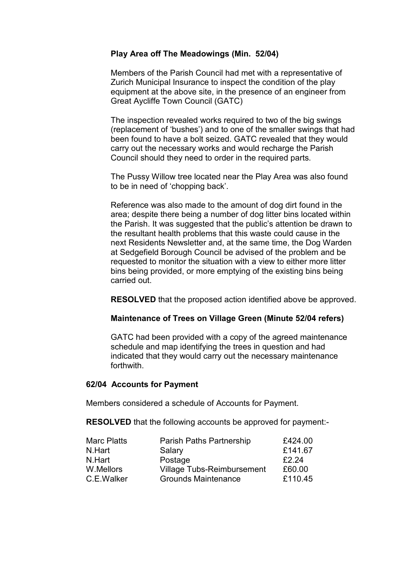# Play Area off The Meadowings (Min. 52/04)

Members of the Parish Council had met with a representative of Zurich Municipal Insurance to inspect the condition of the play equipment at the above site, in the presence of an engineer from Great Aycliffe Town Council (GATC)

 The inspection revealed works required to two of the big swings (replacement of 'bushes') and to one of the smaller swings that had been found to have a bolt seized. GATC revealed that they would carry out the necessary works and would recharge the Parish Council should they need to order in the required parts.

 The Pussy Willow tree located near the Play Area was also found to be in need of 'chopping back'.

 Reference was also made to the amount of dog dirt found in the area; despite there being a number of dog litter bins located within the Parish. It was suggested that the public's attention be drawn to the resultant health problems that this waste could cause in the next Residents Newsletter and, at the same time, the Dog Warden at Sedgefield Borough Council be advised of the problem and be requested to monitor the situation with a view to either more litter bins being provided, or more emptying of the existing bins being carried out.

RESOLVED that the proposed action identified above be approved.

# Maintenance of Trees on Village Green (Minute 52/04 refers)

GATC had been provided with a copy of the agreed maintenance schedule and map identifying the trees in question and had indicated that they would carry out the necessary maintenance forthwith.

#### 62/04 Accounts for Payment

Members considered a schedule of Accounts for Payment.

RESOLVED that the following accounts be approved for payment:-

| £424.00                                     |
|---------------------------------------------|
| £141.67                                     |
| £2.24                                       |
| <b>Village Tubs-Reimbursement</b><br>£60.00 |
| £110.45                                     |
|                                             |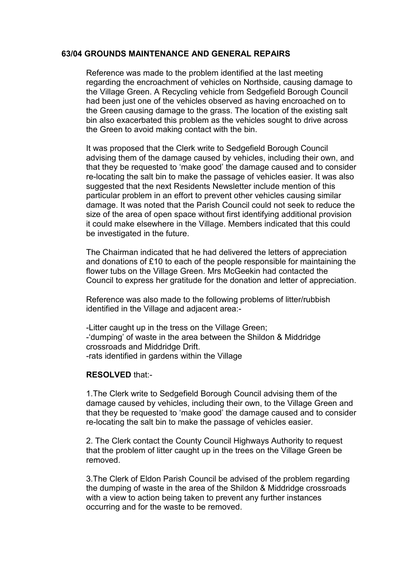# 63/04 GROUNDS MAINTENANCE AND GENERAL REPAIRS

Reference was made to the problem identified at the last meeting regarding the encroachment of vehicles on Northside, causing damage to the Village Green. A Recycling vehicle from Sedgefield Borough Council had been just one of the vehicles observed as having encroached on to the Green causing damage to the grass. The location of the existing salt bin also exacerbated this problem as the vehicles sought to drive across the Green to avoid making contact with the bin.

 It was proposed that the Clerk write to Sedgefield Borough Council advising them of the damage caused by vehicles, including their own, and that they be requested to 'make good' the damage caused and to consider re-locating the salt bin to make the passage of vehicles easier. It was also suggested that the next Residents Newsletter include mention of this particular problem in an effort to prevent other vehicles causing similar damage. It was noted that the Parish Council could not seek to reduce the size of the area of open space without first identifying additional provision it could make elsewhere in the Village. Members indicated that this could be investigated in the future.

 The Chairman indicated that he had delivered the letters of appreciation and donations of £10 to each of the people responsible for maintaining the flower tubs on the Village Green. Mrs McGeekin had contacted the Council to express her gratitude for the donation and letter of appreciation.

 Reference was also made to the following problems of litter/rubbish identified in the Village and adjacent area:-

 -Litter caught up in the tress on the Village Green; -'dumping' of waste in the area between the Shildon & Middridge crossroads and Middridge Drift. -rats identified in gardens within the Village

#### RESOLVED that:-

 1.The Clerk write to Sedgefield Borough Council advising them of the damage caused by vehicles, including their own, to the Village Green and that they be requested to 'make good' the damage caused and to consider re-locating the salt bin to make the passage of vehicles easier.

 2. The Clerk contact the County Council Highways Authority to request that the problem of litter caught up in the trees on the Village Green be removed.

 3.The Clerk of Eldon Parish Council be advised of the problem regarding the dumping of waste in the area of the Shildon & Middridge crossroads with a view to action being taken to prevent any further instances occurring and for the waste to be removed.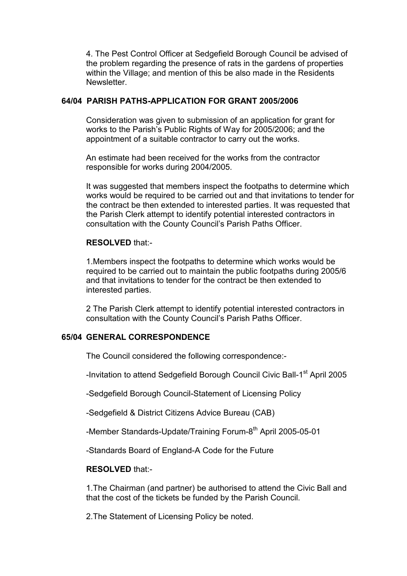4. The Pest Control Officer at Sedgefield Borough Council be advised of the problem regarding the presence of rats in the gardens of properties within the Village; and mention of this be also made in the Residents **Newsletter** 

## 64/04 PARISH PATHS-APPLICATION FOR GRANT 2005/2006

Consideration was given to submission of an application for grant for works to the Parish's Public Rights of Way for 2005/2006; and the appointment of a suitable contractor to carry out the works.

 An estimate had been received for the works from the contractor responsible for works during 2004/2005.

 It was suggested that members inspect the footpaths to determine which works would be required to be carried out and that invitations to tender for the contract be then extended to interested parties. It was requested that the Parish Clerk attempt to identify potential interested contractors in consultation with the County Council's Parish Paths Officer.

### RESOLVED that:-

1.Members inspect the footpaths to determine which works would be required to be carried out to maintain the public footpaths during 2005/6 and that invitations to tender for the contract be then extended to interested parties.

 2 The Parish Clerk attempt to identify potential interested contractors in consultation with the County Council's Parish Paths Officer.

# 65/04 GENERAL CORRESPONDENCE

The Council considered the following correspondence:-

-Invitation to attend Sedgefield Borough Council Civic Ball-1<sup>st</sup> April 2005

-Sedgefield Borough Council-Statement of Licensing Policy

-Sedgefield & District Citizens Advice Bureau (CAB)

-Member Standards-Update/Training Forum-8<sup>th</sup> April 2005-05-01

-Standards Board of England-A Code for the Future

# RESOLVED that:-

 1.The Chairman (and partner) be authorised to attend the Civic Ball and that the cost of the tickets be funded by the Parish Council.

2.The Statement of Licensing Policy be noted.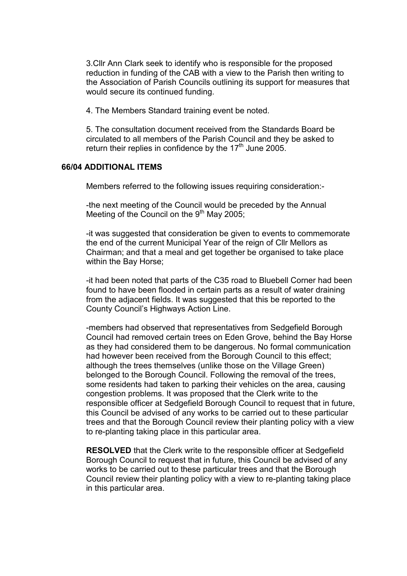3.Cllr Ann Clark seek to identify who is responsible for the proposed reduction in funding of the CAB with a view to the Parish then writing to the Association of Parish Councils outlining its support for measures that would secure its continued funding.

4. The Members Standard training event be noted.

 5. The consultation document received from the Standards Board be circulated to all members of the Parish Council and they be asked to return their replies in confidence by the  $17<sup>th</sup>$  June 2005.

### 66/04 ADDITIONAL ITEMS

Members referred to the following issues requiring consideration:-

-the next meeting of the Council would be preceded by the Annual Meeting of the Council on the  $9<sup>th</sup>$  May 2005;

-it was suggested that consideration be given to events to commemorate the end of the current Municipal Year of the reign of Cllr Mellors as Chairman; and that a meal and get together be organised to take place within the Bay Horse;

-it had been noted that parts of the C35 road to Bluebell Corner had been found to have been flooded in certain parts as a result of water draining from the adjacent fields. It was suggested that this be reported to the County Council's Highways Action Line.

-members had observed that representatives from Sedgefield Borough Council had removed certain trees on Eden Grove, behind the Bay Horse as they had considered them to be dangerous. No formal communication had however been received from the Borough Council to this effect; although the trees themselves (unlike those on the Village Green) belonged to the Borough Council. Following the removal of the trees, some residents had taken to parking their vehicles on the area, causing congestion problems. It was proposed that the Clerk write to the responsible officer at Sedgefield Borough Council to request that in future, this Council be advised of any works to be carried out to these particular trees and that the Borough Council review their planting policy with a view to re-planting taking place in this particular area.

RESOLVED that the Clerk write to the responsible officer at Sedgefield Borough Council to request that in future, this Council be advised of any works to be carried out to these particular trees and that the Borough Council review their planting policy with a view to re-planting taking place in this particular area.